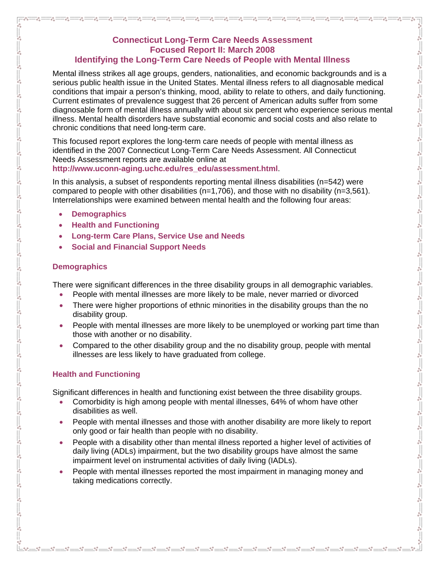## **Connecticut Long-Term Care Needs Assessment Focused Report II: March 2008 Identifying the Long-Term Care Needs of People with Mental Illness**

Mental illness strikes all age groups, genders, nationalities, and economic backgrounds and is a serious public health issue in the United States. Mental illness refers to all diagnosable medical conditions that impair a person's thinking, mood, ability to relate to others, and daily functioning. Current estimates of prevalence suggest that 26 percent of American adults suffer from some diagnosable form of mental illness annually with about six percent who experience serious mental illness. Mental health disorders have substantial economic and social costs and also relate to chronic conditions that need long-term care.

-80 -80 -80 -80 -80 -80 -80 -80 -80

 $-8^{\circ} - 8^{\circ}$ 

 $\frac{6}{6}$ 

This focused report explores the long-term care needs of people with mental illness as identified in the 2007 Connecticut Long-Term Care Needs Assessment. All Connecticut Needs Assessment reports are available online at **[http://www.uconn-aging.uchc.edu/res\\_edu/assessment.html](http://www.uconn-aging.uchc.edu/res_edu/assessment.html)**.

In this analysis, a subset of respondents reporting mental illness disabilities (n=542) were compared to people with other disabilities ( $n=1,706$ ), and those with no disability ( $n=3,561$ ). Interrelationships were examined between mental health and the following four areas:

- **Demographics**
- **Health and Functioning**
- **Long-term Care Plans, Service Use and Needs**
- **Social and Financial Support Needs**

### **Demographics**

There were significant differences in the three disability groups in all demographic variables.

- People with mental illnesses are more likely to be male, never married or divorced
- There were higher proportions of ethnic minorities in the disability groups than the no disability group.
- People with mental illnesses are more likely to be unemployed or working part time than those with another or no disability.
- Compared to the other disability group and the no disability group, people with mental illnesses are less likely to have graduated from college.

# **Health and Functioning**

Significant differences in health and functioning exist between the three disability groups.

- Comorbidity is high among people with mental illnesses, 64% of whom have other disabilities as well.
- People with mental illnesses and those with another disability are more likely to report only good or fair health than people with no disability.
- People with a disability other than mental illness reported a higher level of activities of daily living (ADLs) impairment, but the two disability groups have almost the same impairment level on instrumental activities of daily living (IADLs).
- People with mental illnesses reported the most impairment in managing money and taking medications correctly.